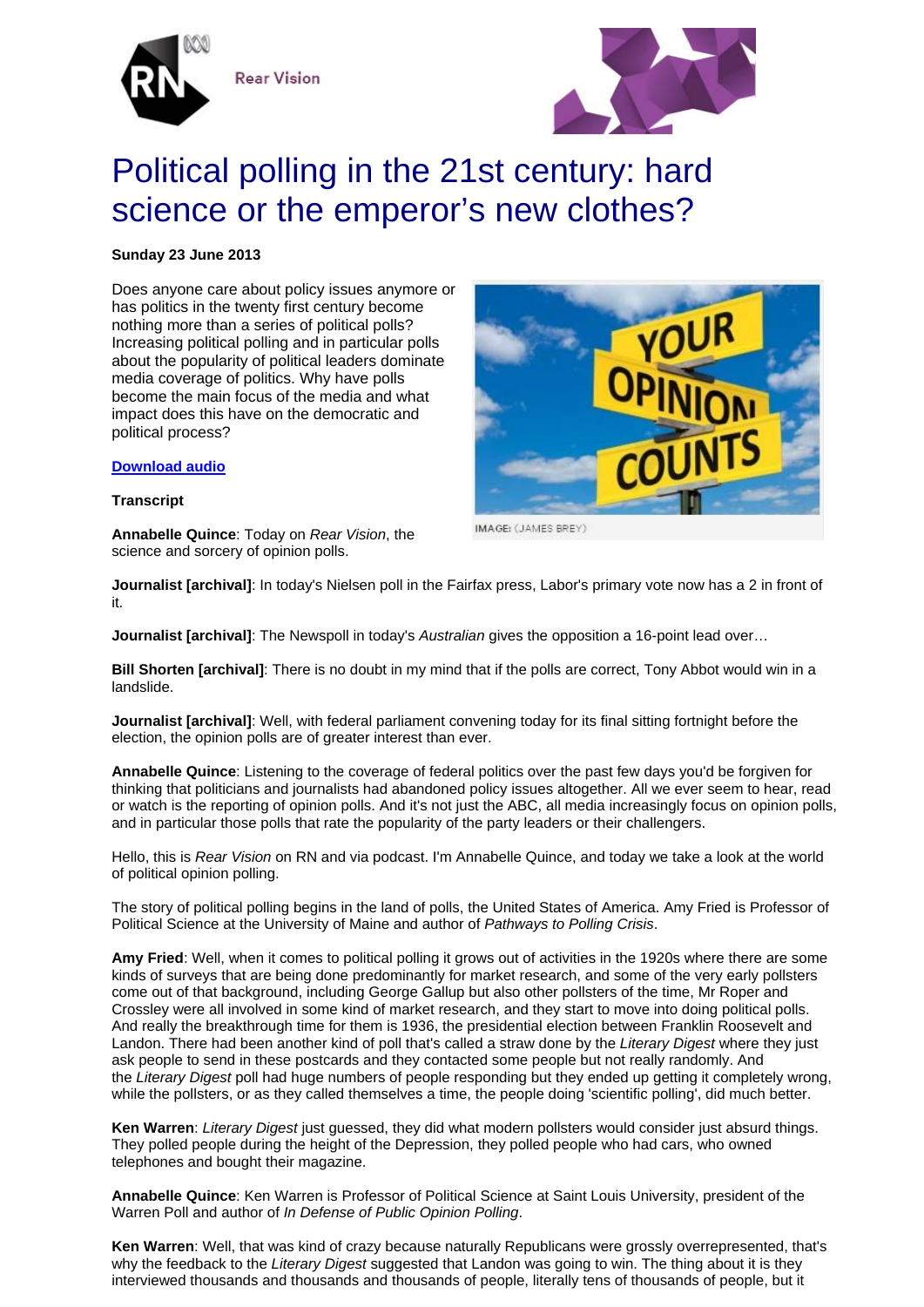

**Rear Vision** 



# Political polling in the 21st century: hard science or the emperor's new clothes?

# **Sunday 23 June 2013**

Does anyone care about policy issues anymore or has politics in the twenty first century become nothing more than a series of political polls? Increasing political polling and in particular polls about the popularity of political leaders dominate media coverage of politics. Why have polls become the main focus of the media and what impact does this have on the democratic and political process?



**Transcript** 

**Annabelle Quince**: Today on *Rear Vision*, the science and sorcery of opinion polls.

IMAGE: (JAMES BREY)

**Journalist [archival]**: In today's Nielsen poll in the Fairfax press, Labor's primary vote now has a 2 in front of it.

**Journalist [archival]**: The Newspoll in today's *Australian* gives the opposition a 16-point lead over…

**Bill Shorten [archival]**: There is no doubt in my mind that if the polls are correct, Tony Abbot would win in a landslide.

**Journalist [archival]**: Well, with federal parliament convening today for its final sitting fortnight before the election, the opinion polls are of greater interest than ever.

**Annabelle Quince**: Listening to the coverage of federal politics over the past few days you'd be forgiven for thinking that politicians and journalists had abandoned policy issues altogether. All we ever seem to hear, read or watch is the reporting of opinion polls. And it's not just the ABC, all media increasingly focus on opinion polls, and in particular those polls that rate the popularity of the party leaders or their challengers.

Hello, this is *Rear Vision* on RN and via podcast. I'm Annabelle Quince, and today we take a look at the world of political opinion polling.

The story of political polling begins in the land of polls, the United States of America. Amy Fried is Professor of Political Science at the University of Maine and author of *Pathways to Polling Crisis*.

**Amy Fried**: Well, when it comes to political polling it grows out of activities in the 1920s where there are some kinds of surveys that are being done predominantly for market research, and some of the very early pollsters come out of that background, including George Gallup but also other pollsters of the time, Mr Roper and Crossley were all involved in some kind of market research, and they start to move into doing political polls. And really the breakthrough time for them is 1936, the presidential election between Franklin Roosevelt and Landon. There had been another kind of poll that's called a straw done by the *Literary Digest* where they just ask people to send in these postcards and they contacted some people but not really randomly. And the *Literary Digest* poll had huge numbers of people responding but they ended up getting it completely wrong, while the pollsters, or as they called themselves a time, the people doing 'scientific polling', did much better.

**Ken Warren**: *Literary Digest* just guessed, they did what modern pollsters would consider just absurd things. They polled people during the height of the Depression, they polled people who had cars, who owned telephones and bought their magazine.

**Annabelle Quince**: Ken Warren is Professor of Political Science at Saint Louis University, president of the Warren Poll and author of *In Defense of Public Opinion Polling*.

**Ken Warren**: Well, that was kind of crazy because naturally Republicans were grossly overrepresented, that's why the feedback to the *Literary Digest* suggested that Landon was going to win. The thing about it is they interviewed thousands and thousands and thousands of people, literally tens of thousands of people, but it

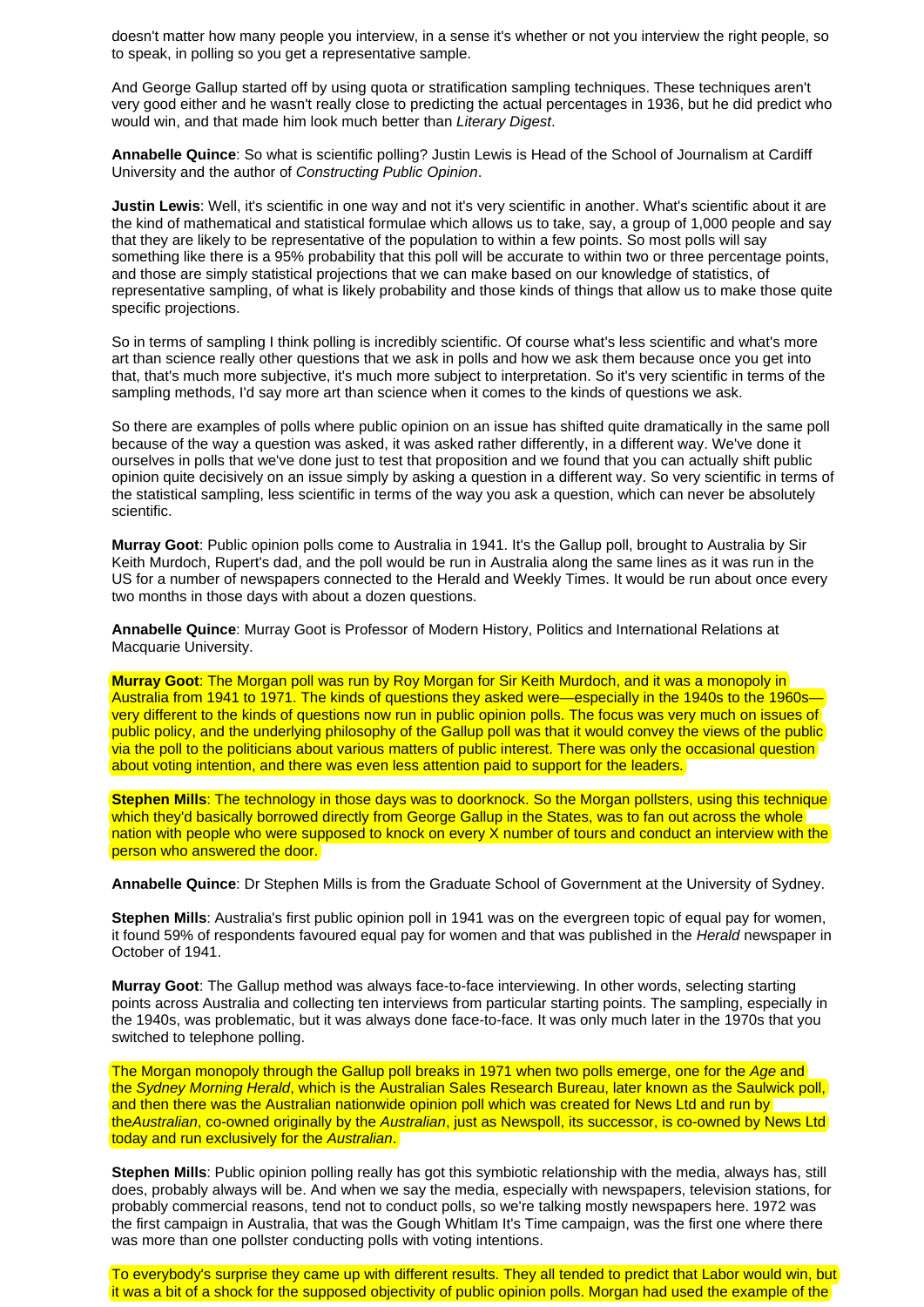doesn't matter how many people you interview, in a sense it's whether or not you interview the right people, so to speak, in polling so you get a representative sample.

And George Gallup started off by using quota or stratification sampling techniques. These techniques aren't very good either and he wasn't really close to predicting the actual percentages in 1936, but he did predict who would win, and that made him look much better than *Literary Digest*.

**Annabelle Quince**: So what is scientific polling? Justin Lewis is Head of the School of Journalism at Cardiff University and the author of *Constructing Public Opinion*.

**Justin Lewis**: Well, it's scientific in one way and not it's very scientific in another. What's scientific about it are the kind of mathematical and statistical formulae which allows us to take, say, a group of 1,000 people and say that they are likely to be representative of the population to within a few points. So most polls will say something like there is a 95% probability that this poll will be accurate to within two or three percentage points, and those are simply statistical projections that we can make based on our knowledge of statistics, of representative sampling, of what is likely probability and those kinds of things that allow us to make those quite specific projections.

So in terms of sampling I think polling is incredibly scientific. Of course what's less scientific and what's more art than science really other questions that we ask in polls and how we ask them because once you get into that, that's much more subjective, it's much more subject to interpretation. So it's very scientific in terms of the sampling methods, I'd say more art than science when it comes to the kinds of questions we ask.

So there are examples of polls where public opinion on an issue has shifted quite dramatically in the same poll because of the way a question was asked, it was asked rather differently, in a different way. We've done it ourselves in polls that we've done just to test that proposition and we found that you can actually shift public opinion quite decisively on an issue simply by asking a question in a different way. So very scientific in terms of the statistical sampling, less scientific in terms of the way you ask a question, which can never be absolutely scientific.

**Murray Goot**: Public opinion polls come to Australia in 1941. It's the Gallup poll, brought to Australia by Sir Keith Murdoch, Rupert's dad, and the poll would be run in Australia along the same lines as it was run in the US for a number of newspapers connected to the Herald and Weekly Times. It would be run about once every two months in those days with about a dozen questions.

**Annabelle Quince**: Murray Goot is Professor of Modern History, Politics and International Relations at Macquarie University.

**Murray Goot**: The Morgan poll was run by Roy Morgan for Sir Keith Murdoch, and it was a monopoly in Australia from 1941 to 1971. The kinds of questions they asked were—especially in the 1940s to the 1960s very different to the kinds of questions now run in public opinion polls. The focus was very much on issues of public policy, and the underlying philosophy of the Gallup poll was that it would convey the views of the public via the poll to the politicians about various matters of public interest. There was only the occasional question about voting intention, and there was even less attention paid to support for the leaders.

**Stephen Mills**: The technology in those days was to doorknock. So the Morgan pollsters, using this technique which they'd basically borrowed directly from George Gallup in the States, was to fan out across the whole nation with people who were supposed to knock on every X number of tours and conduct an interview with the person who answered the door.

**Annabelle Quince**: Dr Stephen Mills is from the Graduate School of Government at the University of Sydney.

**Stephen Mills**: Australia's first public opinion poll in 1941 was on the evergreen topic of equal pay for women, it found 59% of respondents favoured equal pay for women and that was published in the *Herald* newspaper in October of 1941.

**Murray Goot**: The Gallup method was always face-to-face interviewing. In other words, selecting starting points across Australia and collecting ten interviews from particular starting points. The sampling, especially in the 1940s, was problematic, but it was always done face-to-face. It was only much later in the 1970s that you switched to telephone polling.

The Morgan monopoly through the Gallup poll breaks in 1971 when two polls emerge, one for the *Age* and the *Sydney Morning Herald*, which is the Australian Sales Research Bureau, later known as the Saulwick poll, and then there was the Australian nationwide opinion poll which was created for News Ltd and run by the*Australian*, co-owned originally by the *Australian*, just as Newspoll, its successor, is co-owned by News Ltd today and run exclusively for the *Australian*.

**Stephen Mills**: Public opinion polling really has got this symbiotic relationship with the media, always has, still does, probably always will be. And when we say the media, especially with newspapers, television stations, for probably commercial reasons, tend not to conduct polls, so we're talking mostly newspapers here. 1972 was the first campaign in Australia, that was the Gough Whitlam It's Time campaign, was the first one where there was more than one pollster conducting polls with voting intentions.

To everybody's surprise they came up with different results. They all tended to predict that Labor would win, but it was a bit of a shock for the supposed objectivity of public opinion polls. Morgan had used the example of the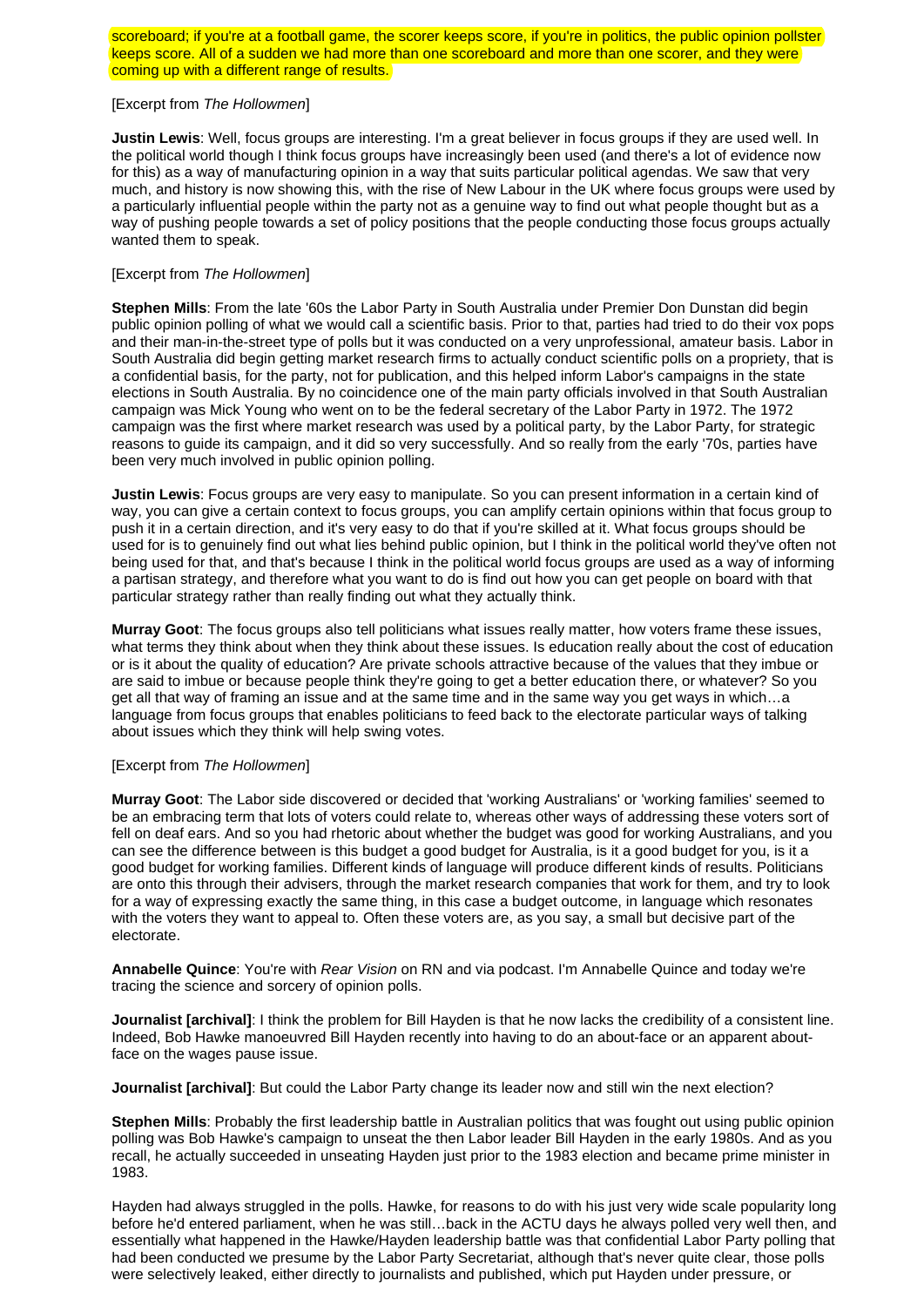scoreboard; if you're at a football game, the scorer keeps score, if you're in politics, the public opinion pollster keeps score. All of a sudden we had more than one scoreboard and more than one scorer, and they were coming up with a different range of results.

#### [Excerpt from *The Hollowmen*]

**Justin Lewis**: Well, focus groups are interesting. I'm a great believer in focus groups if they are used well. In the political world though I think focus groups have increasingly been used (and there's a lot of evidence now for this) as a way of manufacturing opinion in a way that suits particular political agendas. We saw that very much, and history is now showing this, with the rise of New Labour in the UK where focus groups were used by a particularly influential people within the party not as a genuine way to find out what people thought but as a way of pushing people towards a set of policy positions that the people conducting those focus groups actually wanted them to speak.

### [Excerpt from *The Hollowmen*]

**Stephen Mills**: From the late '60s the Labor Party in South Australia under Premier Don Dunstan did begin public opinion polling of what we would call a scientific basis. Prior to that, parties had tried to do their vox pops and their man-in-the-street type of polls but it was conducted on a very unprofessional, amateur basis. Labor in South Australia did begin getting market research firms to actually conduct scientific polls on a propriety, that is a confidential basis, for the party, not for publication, and this helped inform Labor's campaigns in the state elections in South Australia. By no coincidence one of the main party officials involved in that South Australian campaign was Mick Young who went on to be the federal secretary of the Labor Party in 1972. The 1972 campaign was the first where market research was used by a political party, by the Labor Party, for strategic reasons to guide its campaign, and it did so very successfully. And so really from the early '70s, parties have been very much involved in public opinion polling.

**Justin Lewis**: Focus groups are very easy to manipulate. So you can present information in a certain kind of way, you can give a certain context to focus groups, you can amplify certain opinions within that focus group to push it in a certain direction, and it's very easy to do that if you're skilled at it. What focus groups should be used for is to genuinely find out what lies behind public opinion, but I think in the political world they've often not being used for that, and that's because I think in the political world focus groups are used as a way of informing a partisan strategy, and therefore what you want to do is find out how you can get people on board with that particular strategy rather than really finding out what they actually think.

**Murray Goot**: The focus groups also tell politicians what issues really matter, how voters frame these issues, what terms they think about when they think about these issues. Is education really about the cost of education or is it about the quality of education? Are private schools attractive because of the values that they imbue or are said to imbue or because people think they're going to get a better education there, or whatever? So you get all that way of framing an issue and at the same time and in the same way you get ways in which…a language from focus groups that enables politicians to feed back to the electorate particular ways of talking about issues which they think will help swing votes.

## [Excerpt from *The Hollowmen*]

**Murray Goot**: The Labor side discovered or decided that 'working Australians' or 'working families' seemed to be an embracing term that lots of voters could relate to, whereas other ways of addressing these voters sort of fell on deaf ears. And so you had rhetoric about whether the budget was good for working Australians, and you can see the difference between is this budget a good budget for Australia, is it a good budget for you, is it a good budget for working families. Different kinds of language will produce different kinds of results. Politicians are onto this through their advisers, through the market research companies that work for them, and try to look for a way of expressing exactly the same thing, in this case a budget outcome, in language which resonates with the voters they want to appeal to. Often these voters are, as you say, a small but decisive part of the electorate.

**Annabelle Quince**: You're with *Rear Vision* on RN and via podcast. I'm Annabelle Quince and today we're tracing the science and sorcery of opinion polls.

**Journalist [archival]**: I think the problem for Bill Hayden is that he now lacks the credibility of a consistent line. Indeed, Bob Hawke manoeuvred Bill Hayden recently into having to do an about-face or an apparent aboutface on the wages pause issue.

**Journalist [archival]**: But could the Labor Party change its leader now and still win the next election?

**Stephen Mills**: Probably the first leadership battle in Australian politics that was fought out using public opinion polling was Bob Hawke's campaign to unseat the then Labor leader Bill Hayden in the early 1980s. And as you recall, he actually succeeded in unseating Hayden just prior to the 1983 election and became prime minister in 1983.

Hayden had always struggled in the polls. Hawke, for reasons to do with his just very wide scale popularity long before he'd entered parliament, when he was still…back in the ACTU days he always polled very well then, and essentially what happened in the Hawke/Hayden leadership battle was that confidential Labor Party polling that had been conducted we presume by the Labor Party Secretariat, although that's never quite clear, those polls were selectively leaked, either directly to journalists and published, which put Hayden under pressure, or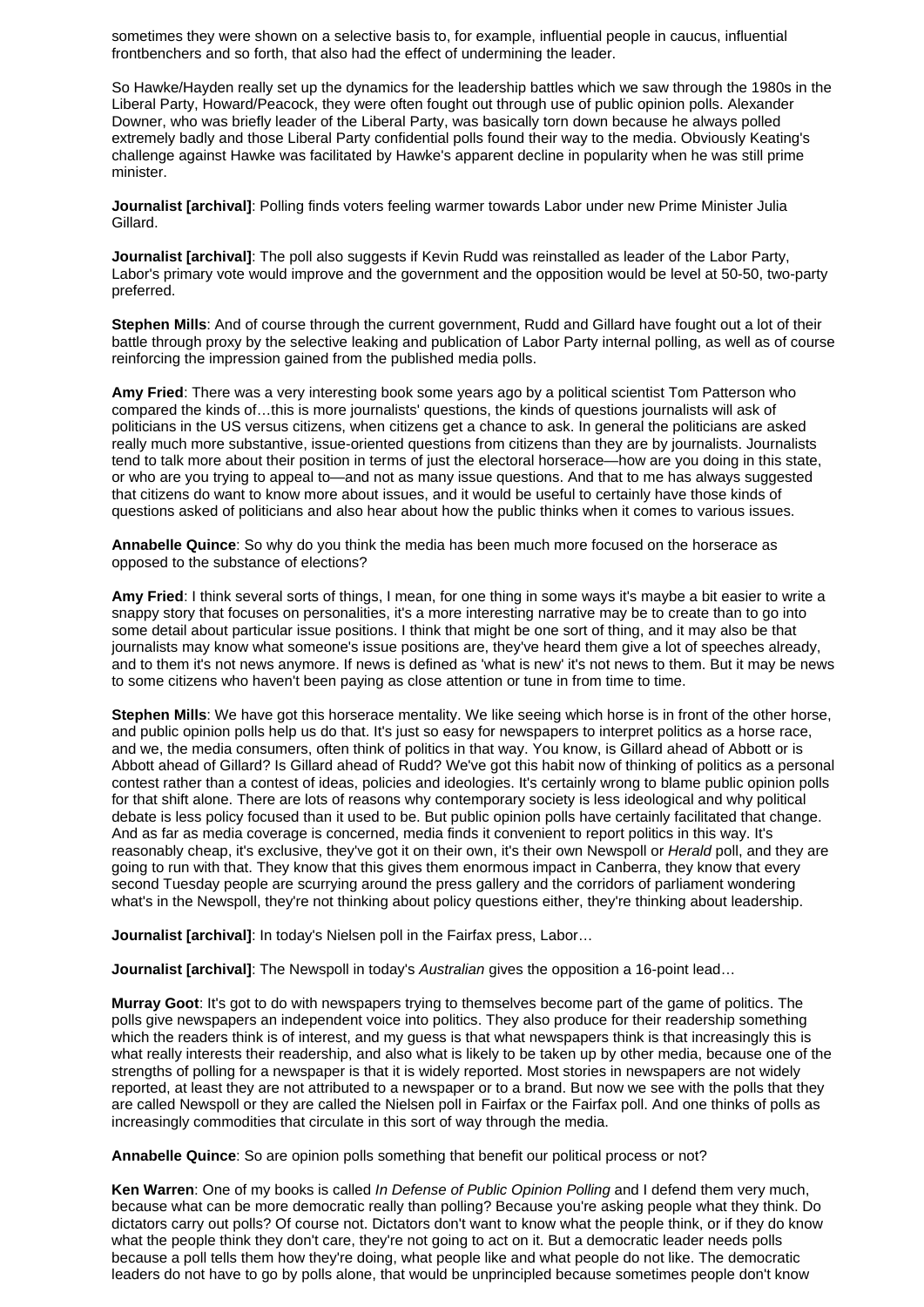sometimes they were shown on a selective basis to, for example, influential people in caucus, influential frontbenchers and so forth, that also had the effect of undermining the leader.

So Hawke/Hayden really set up the dynamics for the leadership battles which we saw through the 1980s in the Liberal Party, Howard/Peacock, they were often fought out through use of public opinion polls. Alexander Downer, who was briefly leader of the Liberal Party, was basically torn down because he always polled extremely badly and those Liberal Party confidential polls found their way to the media. Obviously Keating's challenge against Hawke was facilitated by Hawke's apparent decline in popularity when he was still prime minister.

**Journalist [archival]**: Polling finds voters feeling warmer towards Labor under new Prime Minister Julia Gillard.

**Journalist [archival]**: The poll also suggests if Kevin Rudd was reinstalled as leader of the Labor Party, Labor's primary vote would improve and the government and the opposition would be level at 50-50, two-party preferred.

**Stephen Mills**: And of course through the current government, Rudd and Gillard have fought out a lot of their battle through proxy by the selective leaking and publication of Labor Party internal polling, as well as of course reinforcing the impression gained from the published media polls.

**Amy Fried**: There was a very interesting book some years ago by a political scientist Tom Patterson who compared the kinds of…this is more journalists' questions, the kinds of questions journalists will ask of politicians in the US versus citizens, when citizens get a chance to ask. In general the politicians are asked really much more substantive, issue-oriented questions from citizens than they are by journalists. Journalists tend to talk more about their position in terms of just the electoral horserace—how are you doing in this state, or who are you trying to appeal to—and not as many issue questions. And that to me has always suggested that citizens do want to know more about issues, and it would be useful to certainly have those kinds of questions asked of politicians and also hear about how the public thinks when it comes to various issues.

**Annabelle Quince**: So why do you think the media has been much more focused on the horserace as opposed to the substance of elections?

**Amy Fried**: I think several sorts of things, I mean, for one thing in some ways it's maybe a bit easier to write a snappy story that focuses on personalities, it's a more interesting narrative may be to create than to go into some detail about particular issue positions. I think that might be one sort of thing, and it may also be that journalists may know what someone's issue positions are, they've heard them give a lot of speeches already, and to them it's not news anymore. If news is defined as 'what is new' it's not news to them. But it may be news to some citizens who haven't been paying as close attention or tune in from time to time.

**Stephen Mills**: We have got this horserace mentality. We like seeing which horse is in front of the other horse, and public opinion polls help us do that. It's just so easy for newspapers to interpret politics as a horse race, and we, the media consumers, often think of politics in that way. You know, is Gillard ahead of Abbott or is Abbott ahead of Gillard? Is Gillard ahead of Rudd? We've got this habit now of thinking of politics as a personal contest rather than a contest of ideas, policies and ideologies. It's certainly wrong to blame public opinion polls for that shift alone. There are lots of reasons why contemporary society is less ideological and why political debate is less policy focused than it used to be. But public opinion polls have certainly facilitated that change. And as far as media coverage is concerned, media finds it convenient to report politics in this way. It's reasonably cheap, it's exclusive, they've got it on their own, it's their own Newspoll or *Herald* poll, and they are going to run with that. They know that this gives them enormous impact in Canberra, they know that every second Tuesday people are scurrying around the press gallery and the corridors of parliament wondering what's in the Newspoll, they're not thinking about policy questions either, they're thinking about leadership.

**Journalist [archival]**: In today's Nielsen poll in the Fairfax press, Labor...

**Journalist [archival]**: The Newspoll in today's *Australian* gives the opposition a 16-point lead…

**Murray Goot**: It's got to do with newspapers trying to themselves become part of the game of politics. The polls give newspapers an independent voice into politics. They also produce for their readership something which the readers think is of interest, and my guess is that what newspapers think is that increasingly this is what really interests their readership, and also what is likely to be taken up by other media, because one of the strengths of polling for a newspaper is that it is widely reported. Most stories in newspapers are not widely reported, at least they are not attributed to a newspaper or to a brand. But now we see with the polls that they are called Newspoll or they are called the Nielsen poll in Fairfax or the Fairfax poll. And one thinks of polls as increasingly commodities that circulate in this sort of way through the media.

**Annabelle Quince**: So are opinion polls something that benefit our political process or not?

**Ken Warren**: One of my books is called *In Defense of Public Opinion Polling* and I defend them very much, because what can be more democratic really than polling? Because you're asking people what they think. Do dictators carry out polls? Of course not. Dictators don't want to know what the people think, or if they do know what the people think they don't care, they're not going to act on it. But a democratic leader needs polls because a poll tells them how they're doing, what people like and what people do not like. The democratic leaders do not have to go by polls alone, that would be unprincipled because sometimes people don't know